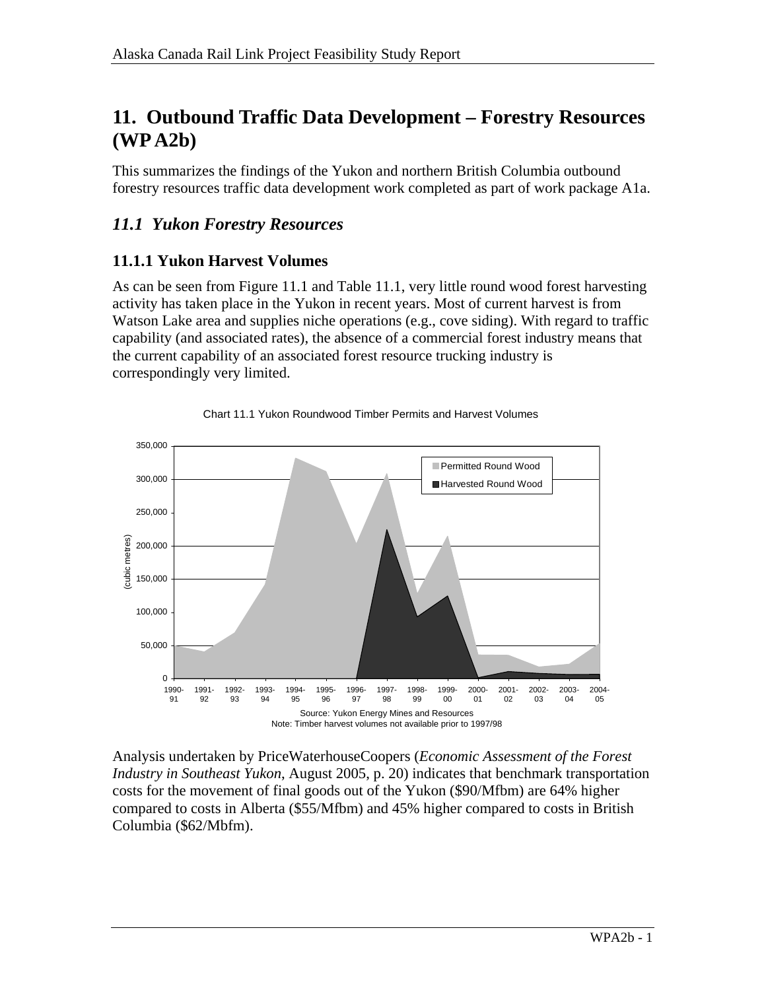# **11. Outbound Traffic Data Development – Forestry Resources (WP A2b)**

This summarizes the findings of the Yukon and northern British Columbia outbound forestry resources traffic data development work completed as part of work package A1a.

# *11.1 Yukon Forestry Resources*

# **11.1.1 Yukon Harvest Volumes**

As can be seen from Figure 11.1 and Table 11.1, very little round wood forest harvesting activity has taken place in the Yukon in recent years. Most of current harvest is from Watson Lake area and supplies niche operations (e.g., cove siding). With regard to traffic capability (and associated rates), the absence of a commercial forest industry means that the current capability of an associated forest resource trucking industry is correspondingly very limited.





Analysis undertaken by PriceWaterhouseCoopers (*Economic Assessment of the Forest Industry in Southeast Yukon*, August 2005, p. 20) indicates that benchmark transportation costs for the movement of final goods out of the Yukon (\$90/Mfbm) are 64% higher compared to costs in Alberta (\$55/Mfbm) and 45% higher compared to costs in British Columbia (\$62/Mbfm).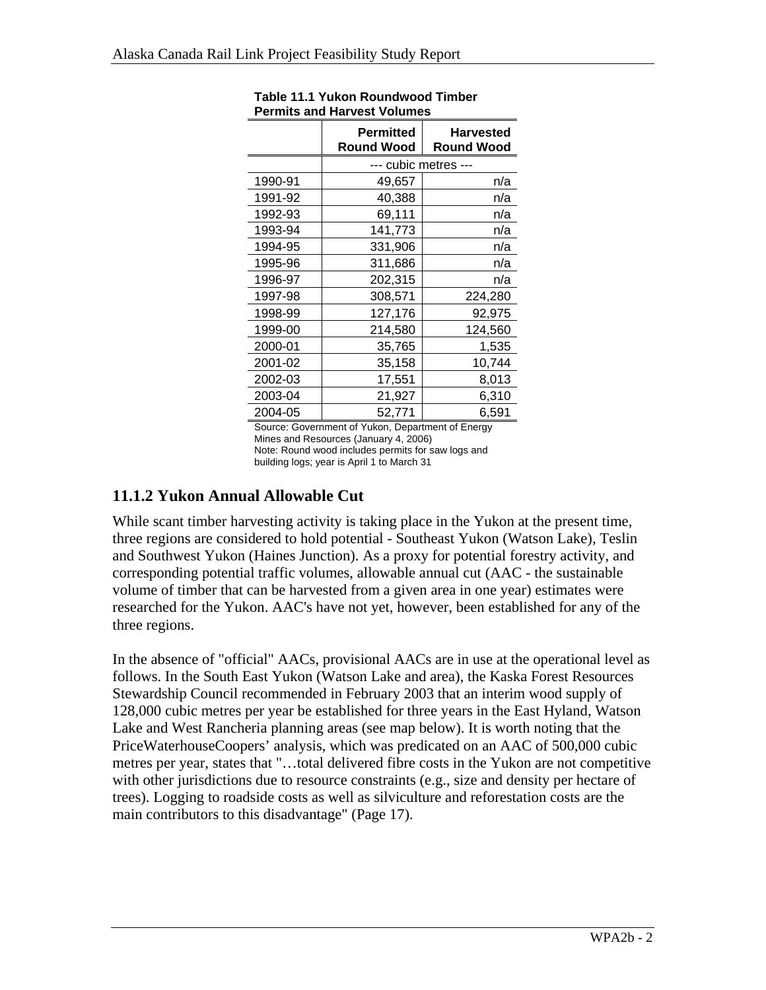|         | Permitted<br><b>Round Wood</b> | <b>Harvested</b><br><b>Round Wood</b> |  |  |  |
|---------|--------------------------------|---------------------------------------|--|--|--|
|         | --- cubic metres ---           |                                       |  |  |  |
| 1990-91 | 49,657                         | n/a                                   |  |  |  |
| 1991-92 | 40,388                         | n/a                                   |  |  |  |
| 1992-93 | 69,111                         | n/a                                   |  |  |  |
| 1993-94 | 141,773                        | n/a                                   |  |  |  |
| 1994-95 | 331,906                        | n/a                                   |  |  |  |
| 1995-96 | 311,686                        | n/a                                   |  |  |  |
| 1996-97 | 202,315                        | n/a                                   |  |  |  |
| 1997-98 | 308,571                        | 224,280                               |  |  |  |
| 1998-99 | 127,176                        | 92,975                                |  |  |  |
| 1999-00 | 214,580                        | 124,560                               |  |  |  |
| 2000-01 | 35,765                         | 1,535                                 |  |  |  |
| 2001-02 | 35,158                         | 10,744                                |  |  |  |
| 2002-03 | 17,551                         | 8,013                                 |  |  |  |
| 2003-04 | 21,927                         | 6,310                                 |  |  |  |
| 2004-05 | 52,771                         | 6,591                                 |  |  |  |

| Table 11.1 Yukon Roundwood Timber  |  |  |  |  |
|------------------------------------|--|--|--|--|
| <b>Permits and Harvest Volumes</b> |  |  |  |  |

Source: Government of Yukon, Department of Energy Mines and Resources (January 4, 2006) Note: Round wood includes permits for saw logs and building logs; year is April 1 to March 31

## **11.1.2 Yukon Annual Allowable Cut**

While scant timber harvesting activity is taking place in the Yukon at the present time, three regions are considered to hold potential - Southeast Yukon (Watson Lake), Teslin and Southwest Yukon (Haines Junction). As a proxy for potential forestry activity, and corresponding potential traffic volumes, allowable annual cut (AAC - the sustainable volume of timber that can be harvested from a given area in one year) estimates were researched for the Yukon. AAC's have not yet, however, been established for any of the three regions.

In the absence of "official" AACs, provisional AACs are in use at the operational level as follows. In the South East Yukon (Watson Lake and area), the Kaska Forest Resources Stewardship Council recommended in February 2003 that an interim wood supply of 128,000 cubic metres per year be established for three years in the East Hyland, Watson Lake and West Rancheria planning areas (see map below). It is worth noting that the PriceWaterhouseCoopers' analysis, which was predicated on an AAC of 500,000 cubic metres per year, states that "…total delivered fibre costs in the Yukon are not competitive with other jurisdictions due to resource constraints (e.g., size and density per hectare of trees). Logging to roadside costs as well as silviculture and reforestation costs are the main contributors to this disadvantage" (Page 17).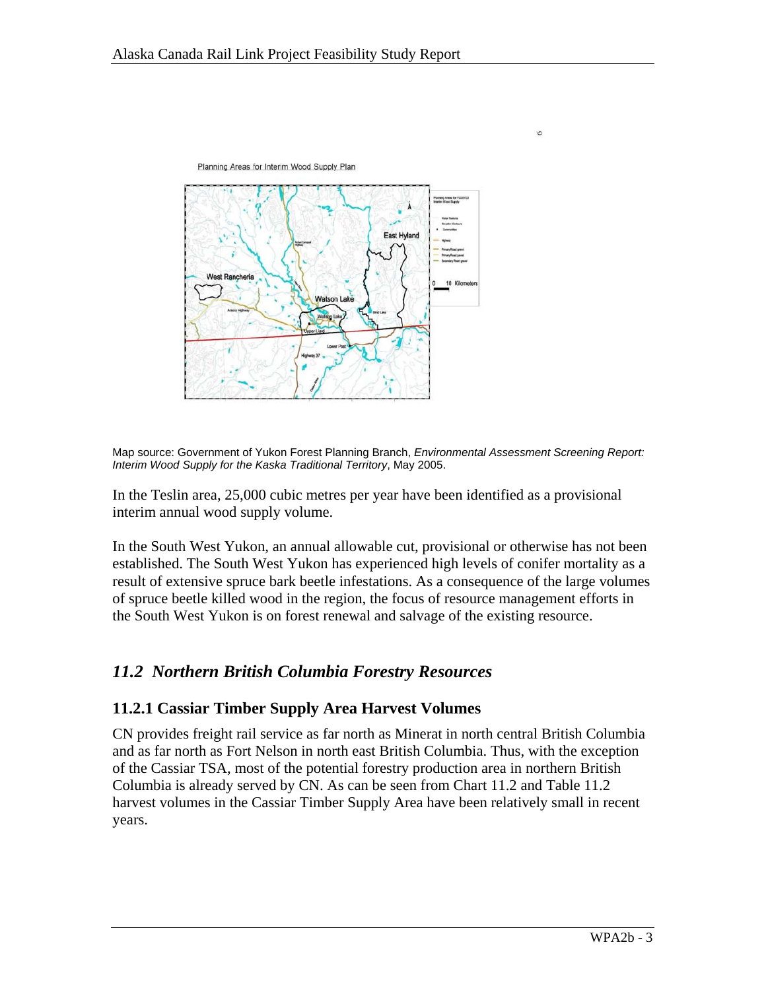

Map source: Government of Yukon Forest Planning Branch, *Environmental Assessment Screening Report: Interim Wood Supply for the Kaska Traditional Territory*, May 2005.

 $\circ$ 

In the Teslin area, 25,000 cubic metres per year have been identified as a provisional interim annual wood supply volume.

In the South West Yukon, an annual allowable cut, provisional or otherwise has not been established. The South West Yukon has experienced high levels of conifer mortality as a result of extensive spruce bark beetle infestations. As a consequence of the large volumes of spruce beetle killed wood in the region, the focus of resource management efforts in the South West Yukon is on forest renewal and salvage of the existing resource.

## *11.2 Northern British Columbia Forestry Resources*

### **11.2.1 Cassiar Timber Supply Area Harvest Volumes**

CN provides freight rail service as far north as Minerat in north central British Columbia and as far north as Fort Nelson in north east British Columbia. Thus, with the exception of the Cassiar TSA, most of the potential forestry production area in northern British Columbia is already served by CN. As can be seen from Chart 11.2 and Table 11.2 harvest volumes in the Cassiar Timber Supply Area have been relatively small in recent years.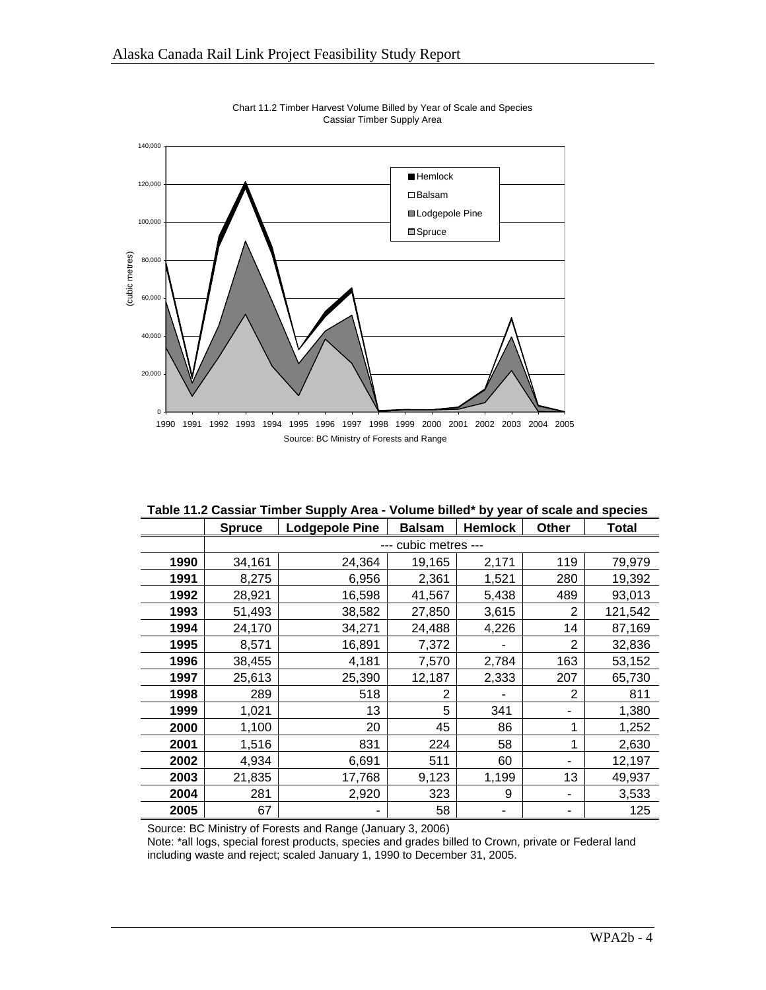

Chart 11.2 Timber Harvest Volume Billed by Year of Scale and Species Cassiar Timber Supply Area

| Table 11.2 Cassiar Timber Supply Area - Volume billed* by year of scale and species |  |
|-------------------------------------------------------------------------------------|--|

|      | <b>Spruce</b>    | <b>Lodgepole Pine</b> | <b>Balsam</b> | <b>Hemlock</b> | Other          | <b>Total</b> |  |
|------|------------------|-----------------------|---------------|----------------|----------------|--------------|--|
|      | cubic metres --- |                       |               |                |                |              |  |
| 1990 | 34,161           | 24,364                | 19,165        | 2,171          | 119            | 79,979       |  |
| 1991 | 8,275            | 6,956                 | 2,361         | 1,521          | 280            | 19,392       |  |
| 1992 | 28,921           | 16,598                | 41,567        | 5,438          | 489            | 93,013       |  |
| 1993 | 51,493           | 38,582                | 27,850        | 3,615          | $\overline{2}$ | 121,542      |  |
| 1994 | 24,170           | 34,271                | 24,488        | 4,226          | 14             | 87,169       |  |
| 1995 | 8,571            | 16,891                | 7,372         |                | $\overline{2}$ | 32,836       |  |
| 1996 | 38,455           | 4,181                 | 7,570         | 2,784          | 163            | 53,152       |  |
| 1997 | 25,613           | 25,390                | 12,187        | 2,333          | 207            | 65,730       |  |
| 1998 | 289              | 518                   | 2             |                | 2              | 811          |  |
| 1999 | 1,021            | 13                    | 5             | 341            |                | 1,380        |  |
| 2000 | 1,100            | 20                    | 45            | 86             | 1              | 1,252        |  |
| 2001 | 1,516            | 831                   | 224           | 58             | 1              | 2,630        |  |
| 2002 | 4,934            | 6,691                 | 511           | 60             |                | 12,197       |  |
| 2003 | 21,835           | 17,768                | 9,123         | 1,199          | 13             | 49,937       |  |
| 2004 | 281              | 2,920                 | 323           | 9              |                | 3,533        |  |
| 2005 | 67               |                       | 58            |                |                | 125          |  |

Source: BC Ministry of Forests and Range (January 3, 2006)

Note: \*all logs, special forest products, species and grades billed to Crown, private or Federal land including waste and reject; scaled January 1, 1990 to December 31, 2005.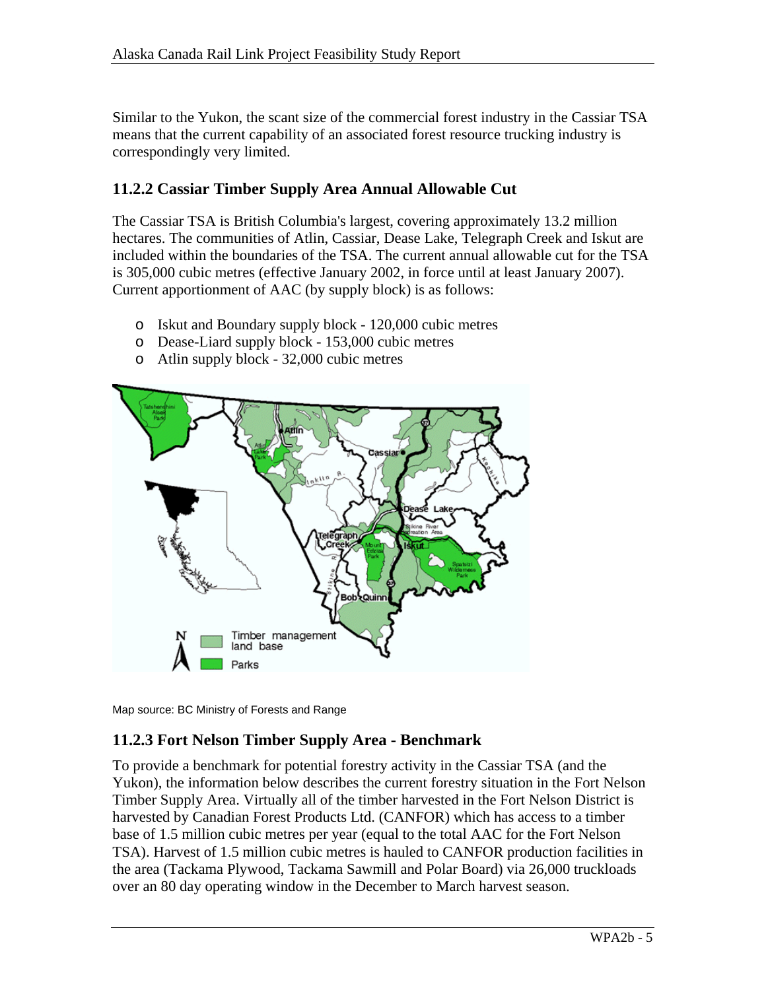Similar to the Yukon, the scant size of the commercial forest industry in the Cassiar TSA means that the current capability of an associated forest resource trucking industry is correspondingly very limited.

# **11.2.2 Cassiar Timber Supply Area Annual Allowable Cut**

The Cassiar TSA is British Columbia's largest, covering approximately 13.2 million hectares. The communities of Atlin, Cassiar, Dease Lake, Telegraph Creek and Iskut are included within the boundaries of the TSA. The current annual allowable cut for the TSA is 305,000 cubic metres (effective January 2002, in force until at least January 2007). Current apportionment of AAC (by supply block) is as follows:

- o Iskut and Boundary supply block 120,000 cubic metres
- o Dease-Liard supply block 153,000 cubic metres
- o Atlin supply block 32,000 cubic metres



Map source: BC Ministry of Forests and Range

## **11.2.3 Fort Nelson Timber Supply Area - Benchmark**

To provide a benchmark for potential forestry activity in the Cassiar TSA (and the Yukon), the information below describes the current forestry situation in the Fort Nelson Timber Supply Area. Virtually all of the timber harvested in the Fort Nelson District is harvested by Canadian Forest Products Ltd. (CANFOR) which has access to a timber base of 1.5 million cubic metres per year (equal to the total AAC for the Fort Nelson TSA). Harvest of 1.5 million cubic metres is hauled to CANFOR production facilities in the area (Tackama Plywood, Tackama Sawmill and Polar Board) via 26,000 truckloads over an 80 day operating window in the December to March harvest season.